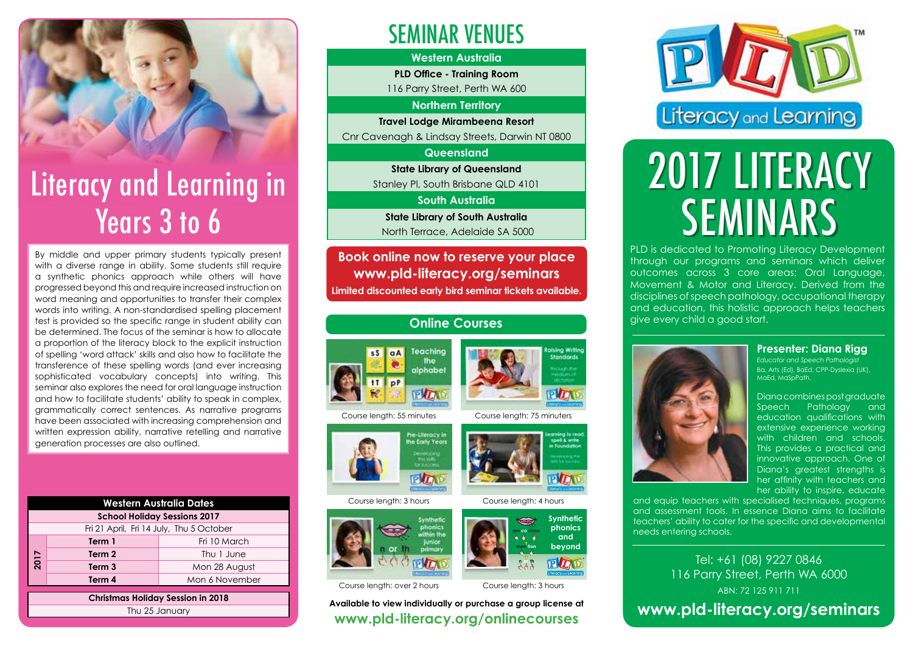### Literacy and Learning in Years 3 to 6

By middle and upper primary students typically present with a diverse range in ability. Some students still require a synthetic phonics approach while others will have progressed beyond this and require increased instruction on word meaning and opportunities to transfer their complex words into writing. A non-standardised spelling placement test is provided so the specific range in student ability can be determined. The focus of the seminar is how to allocate a proportion of the literacy block to the explicit instruction of spelling 'word attack' skills and also how to facilitate the transference of these spelling words (and ever increasing sophisticated vocabulary concepts) into writing. This seminar also explores the need for oral language instruction and how to facilitate students' ability to speak in complex, grammatically correct sentences. As narrative programs have been associated with increasing comprehension and written expression ability, narrative retelling and narrative generation processes are also outlined.

|                                          | <b>Western Australia Dates</b> |                |  |  |  |  |  |
|------------------------------------------|--------------------------------|----------------|--|--|--|--|--|
| <b>School Holiday Sessions 2017</b>      |                                |                |  |  |  |  |  |
| Fri 21 April, Fri 14 July, Thu 5 October |                                |                |  |  |  |  |  |
| 2017                                     | Term 1                         | Fri 10 March   |  |  |  |  |  |
|                                          | Term 2                         | Thu 1 June     |  |  |  |  |  |
|                                          | Term <sub>3</sub>              | Mon 28 August  |  |  |  |  |  |
|                                          | Term 4                         | Mon 6 November |  |  |  |  |  |
|                                          |                                |                |  |  |  |  |  |

**Christmas Holiday Session in 2018** Thu 25 January

### SEMINAR VENUES

#### **Western Australia**

**PLD Office - Training Room** 

116 Parry Street, Perth WA 600

**Northern Territory**

**Travel Lodge Mirambeena Resort** Cnr Cavenagh & Lindsay Streets, Darwin NT 0800

#### **Queensland**

**State Library of Queensland**  Stanley Pl, South Brisbane QLD 4101

**South Australia**

**State Library of South Australia**  North Terrace, Adelaide SA 5000

**Book online now to reserve your place www.pld-literacy.org/seminars Limited discounted early bird seminar tickets available.**

### **Online Courses**



Course length: 55 minutes Course length: 75 minuters



Course length: 3 hours Course length: 4 hours



Course length: over 2 hours

**Available to view individually or purchase a group license at www.pld-literacy.org/onlinecourses**



# 2017 LITERACY **SEMINARS**

PLD is dedicated to Promoting Literacy Development through our programs and seminars which deliver outcomes across 3 core areas; Oral Language, Movement & Motor and Literacy. Derived from the disciplines of speech pathology, occupational therapy and education, this holistic approach helps teachers give every child a good start.



*Educator and Speech Pathologist* Ba. Arts (Ed), BaEd, CPP-Dyslexia (UK), MaEd, MaSpPath.

Diana combines post graduate Speech Pathology education qualifications with extensive experience working with children and schools. This provides a practical and innovative approach. One of Diana's areatest strenaths is her affinity with teachers and her ability to inspire, educate

and equip teachers with specialised techniques, programs and assessment tools. In essence Diana aims to facilitate teachers' ability to cater for the specific and developmental needs entering schools.

Tel: +61 (08) 9227 0846 116 Parry Street, Perth WA 6000 ABN: 72 125 911 711 **www.pld-literacy.org/seminars** 

Standards





Course length: 3 hours